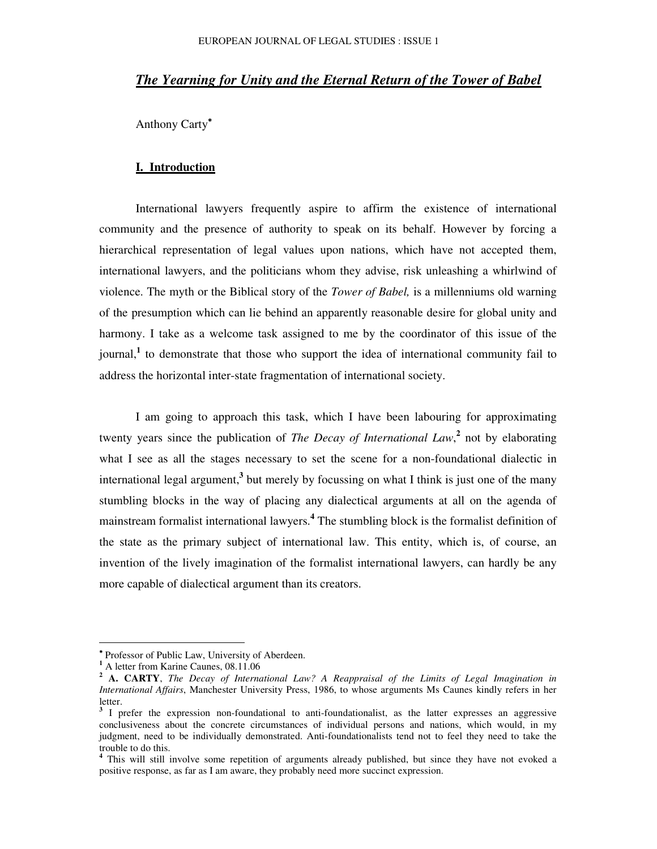# *The Yearning for Unity and the Eternal Return of the Tower of Babel*

Anthony Carty ∗

## **I. Introduction**

International lawyers frequently aspire to affirm the existence of international community and the presence of authority to speak on its behalf. However by forcing a hierarchical representation of legal values upon nations, which have not accepted them, international lawyers, and the politicians whom they advise, risk unleashing a whirlwind of violence. The myth or the Biblical story of the *Tower of Babel,* is a millenniums old warning of the presumption which can lie behind an apparently reasonable desire for global unity and harmony. I take as a welcome task assigned to me by the coordinator of this issue of the journal, **1** to demonstrate that those who support the idea of international community fail to address the horizontal inter-state fragmentation of international society.

I am going to approach this task, which I have been labouring for approximating twenty years since the publication of *The Decay of International Law*, **2** not by elaborating what I see as all the stages necessary to set the scene for a non-foundational dialectic in international legal argument, **3** but merely by focussing on what I think is just one of the many stumbling blocks in the way of placing any dialectical arguments at all on the agenda of mainstream formalist international lawyers. **<sup>4</sup>** The stumbling block is the formalist definition of the state as the primary subject of international law. This entity, which is, of course, an invention of the lively imagination of the formalist international lawyers, can hardly be any more capable of dialectical argument than its creators.

<sup>∗</sup> Professor of Public Law, University of Aberdeen.

**<sup>1</sup>** A letter from Karine Caunes, 08.11.06

**<sup>2</sup> A. CARTY**, *The Decay of International Law? A Reappraisal of the Limits of Legal Imagination in International Affairs*, Manchester University Press, 1986, to whose arguments Ms Caunes kindly refers in her letter.

<sup>&</sup>lt;sup>3</sup> I prefer the expression non-foundational to anti-foundationalist, as the latter expresses an aggressive conclusiveness about the concrete circumstances of individual persons and nations, which would, in my judgment, need to be individually demonstrated. Anti-foundationalists tend not to feel they need to take the trouble to do this.

<sup>&</sup>lt;sup>4</sup> This will still involve some repetition of arguments already published, but since they have not evoked a positive response, as far as I am aware, they probably need more succinct expression.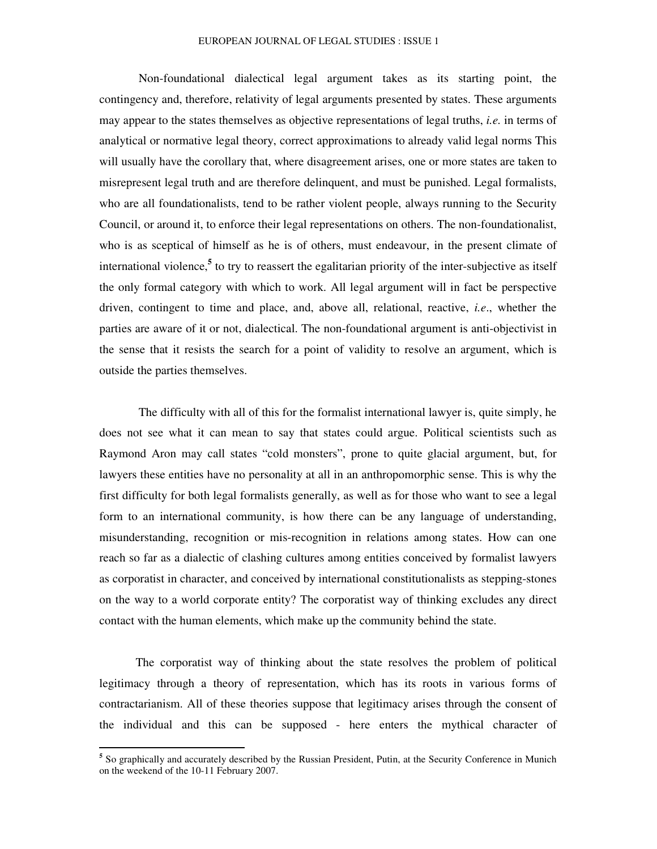Non-foundational dialectical legal argument takes as its starting point, the contingency and, therefore, relativity of legal arguments presented by states. These arguments may appear to the states themselves as objective representations of legal truths, *i.e.* in terms of analytical or normative legal theory, correct approximations to already valid legal norms This will usually have the corollary that, where disagreement arises, one or more states are taken to misrepresent legal truth and are therefore delinquent, and must be punished. Legal formalists, who are all foundationalists, tend to be rather violent people, always running to the Security Council, or around it, to enforce their legal representations on others. The non-foundationalist, who is as sceptical of himself as he is of others, must endeavour, in the present climate of international violence, **5** to try to reassert the egalitarian priority of the inter-subjective as itself the only formal category with which to work. All legal argument will in fact be perspective driven, contingent to time and place, and, above all, relational, reactive, *i.e*., whether the parties are aware of it or not, dialectical. The non-foundational argument is anti-objectivist in the sense that it resists the search for a point of validity to resolve an argument, which is outside the parties themselves.

The difficulty with all of this for the formalist international lawyer is, quite simply, he does not see what it can mean to say that states could argue. Political scientists such as Raymond Aron may call states "cold monsters", prone to quite glacial argument, but, for lawyers these entities have no personality at all in an anthropomorphic sense. This is why the first difficulty for both legal formalists generally, as well as for those who want to see a legal form to an international community, is how there can be any language of understanding, misunderstanding, recognition or mis-recognition in relations among states. How can one reach so far as a dialectic of clashing cultures among entities conceived by formalist lawyers as corporatist in character, and conceived by international constitutionalists as stepping-stones on the way to a world corporate entity? The corporatist way of thinking excludes any direct contact with the human elements, which make up the community behind the state.

The corporatist way of thinking about the state resolves the problem of political legitimacy through a theory of representation, which has its roots in various forms of contractarianism. All of these theories suppose that legitimacy arises through the consent of the individual and this can be supposed - here enters the mythical character of

<sup>&</sup>lt;sup>5</sup> So graphically and accurately described by the Russian President, Putin, at the Security Conference in Munich on the weekend of the 10-11 February 2007.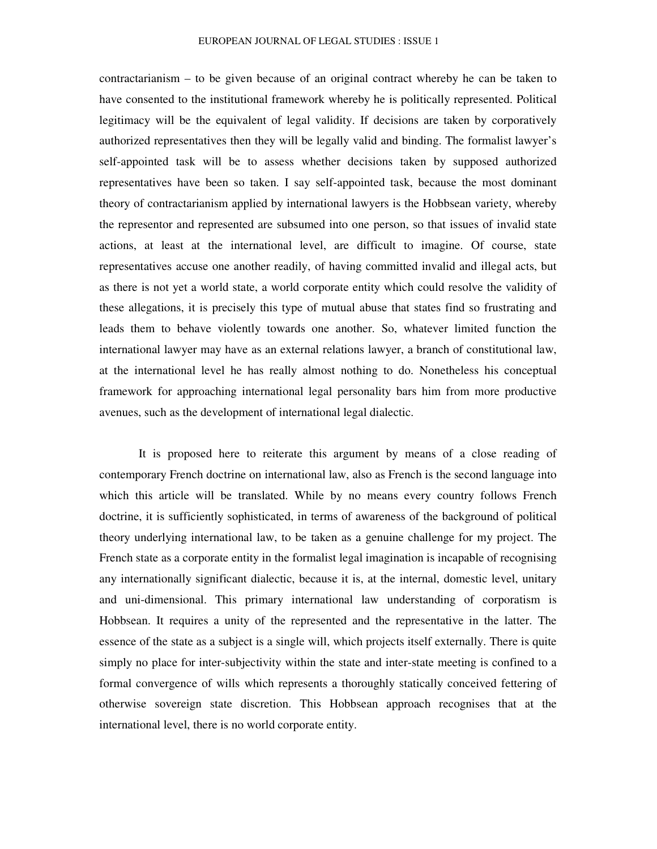contractarianism – to be given because of an original contract whereby he can be taken to have consented to the institutional framework whereby he is politically represented. Political legitimacy will be the equivalent of legal validity. If decisions are taken by corporatively authorized representatives then they will be legally valid and binding. The formalist lawyer's self-appointed task will be to assess whether decisions taken by supposed authorized representatives have been so taken. I say self-appointed task, because the most dominant theory of contractarianism applied by international lawyers is the Hobbsean variety, whereby the representor and represented are subsumed into one person, so that issues of invalid state actions, at least at the international level, are difficult to imagine. Of course, state representatives accuse one another readily, of having committed invalid and illegal acts, but as there is not yet a world state, a world corporate entity which could resolve the validity of these allegations, it is precisely this type of mutual abuse that states find so frustrating and leads them to behave violently towards one another. So, whatever limited function the international lawyer may have as an external relations lawyer, a branch of constitutional law, at the international level he has really almost nothing to do. Nonetheless his conceptual framework for approaching international legal personality bars him from more productive avenues, such as the development of international legal dialectic.

It is proposed here to reiterate this argument by means of a close reading of contemporary French doctrine on international law, also as French is the second language into which this article will be translated. While by no means every country follows French doctrine, it is sufficiently sophisticated, in terms of awareness of the background of political theory underlying international law, to be taken as a genuine challenge for my project. The French state as a corporate entity in the formalist legal imagination is incapable of recognising any internationally significant dialectic, because it is, at the internal, domestic level, unitary and uni-dimensional. This primary international law understanding of corporatism is Hobbsean. It requires a unity of the represented and the representative in the latter. The essence of the state as a subject is a single will, which projects itself externally. There is quite simply no place for inter-subjectivity within the state and inter-state meeting is confined to a formal convergence of wills which represents a thoroughly statically conceived fettering of otherwise sovereign state discretion. This Hobbsean approach recognises that at the international level, there is no world corporate entity.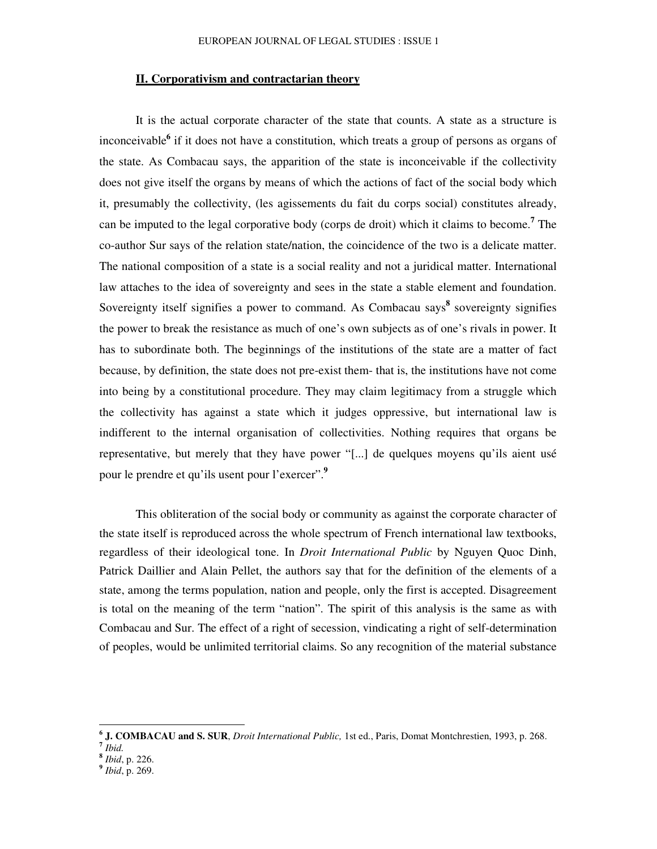## **II. Corporativism and contractarian theory**

It is the actual corporate character of the state that counts. A state as a structure is inconceivable<sup>6</sup> if it does not have a constitution, which treats a group of persons as organs of the state. As Combacau says, the apparition of the state is inconceivable if the collectivity does not give itself the organs by means of which the actions of fact of the social body which it, presumably the collectivity, (les agissements du fait du corps social) constitutes already, can be imputed to the legal corporative body (corps de droit) which it claims to become. **<sup>7</sup>** The co-author Sur says of the relation state/nation, the coincidence of the two is a delicate matter. The national composition of a state is a social reality and not a juridical matter. International law attaches to the idea of sovereignty and sees in the state a stable element and foundation. Sovereignty itself signifies a power to command. As Combacau says **8** sovereignty signifies the power to break the resistance as much of one's own subjects as of one's rivals in power. It has to subordinate both. The beginnings of the institutions of the state are a matter of fact because, by definition, the state does not pre-exist them- that is, the institutions have not come into being by a constitutional procedure. They may claim legitimacy from a struggle which the collectivity has against a state which it judges oppressive, but international law is indifferent to the internal organisation of collectivities. Nothing requires that organs be representative, but merely that they have power "[...] de quelques moyens qu'ils aient usé pour le prendre et qu'ils usent pour l'exercer". **9**

This obliteration of the social body or community as against the corporate character of the state itself is reproduced across the whole spectrum of French international law textbooks, regardless of their ideological tone. In *Droit International Public* by Nguyen Quoc Dinh, Patrick Daillier and Alain Pellet, the authors say that for the definition of the elements of a state, among the terms population, nation and people, only the first is accepted. Disagreement is total on the meaning of the term "nation". The spirit of this analysis is the same as with Combacau and Sur. The effect of a right of secession, vindicating a right of self-determination of peoples, would be unlimited territorial claims. So any recognition of the material substance

**<sup>6</sup> J. COMBACAU and S. SUR**, *Droit International Public,* 1st ed., Paris, Domat Montchrestien, 1993, p. 268. **7** *Ibid.* **8** *Ibid*, p. 226.

**<sup>9</sup>** *Ibid*, p. 269.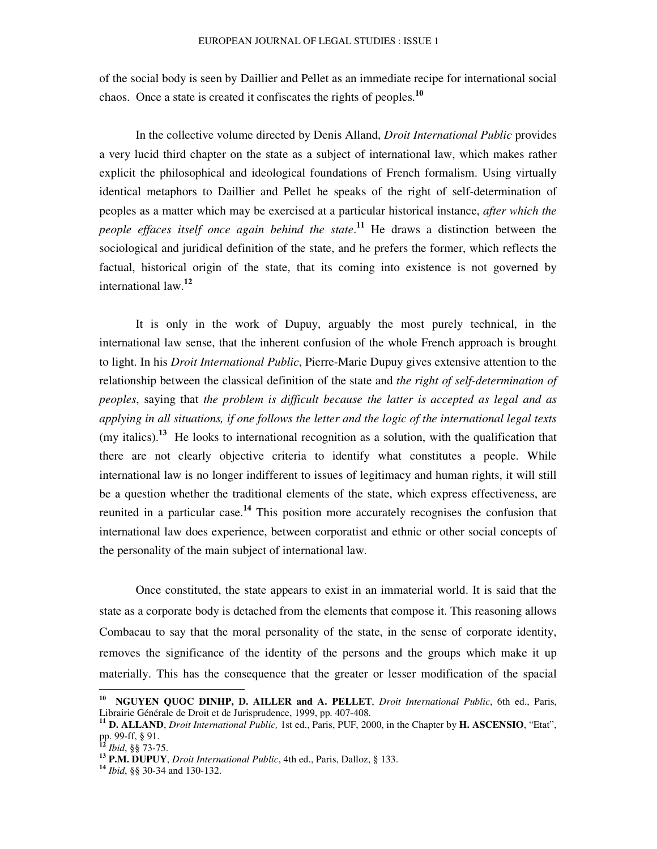of the social body is seen by Daillier and Pellet as an immediate recipe for international social chaos. Once a state is created it confiscates the rights of peoples. **10**

In the collective volume directed by Denis Alland, *Droit International Public* provides a very lucid third chapter on the state as a subject of international law, which makes rather explicit the philosophical and ideological foundations of French formalism. Using virtually identical metaphors to Daillier and Pellet he speaks of the right of self-determination of peoples as a matter which may be exercised at a particular historical instance, *after which the people effaces itself once again behind the state*. **<sup>11</sup>** He draws a distinction between the sociological and juridical definition of the state, and he prefers the former, which reflects the factual, historical origin of the state, that its coming into existence is not governed by international law. **12**

It is only in the work of Dupuy, arguably the most purely technical, in the international law sense, that the inherent confusion of the whole French approach is brought to light. In his *Droit International Public*, Pierre-Marie Dupuy gives extensive attention to the relationship between the classical definition of the state and *the right of self-determination of peoples*, saying that *the problem is difficult because the latter is accepted as legal and as applying in all situations, if one follows the letter and the logic of the international legal texts* (my italics). **<sup>13</sup>** He looks to international recognition as a solution, with the qualification that there are not clearly objective criteria to identify what constitutes a people. While international law is no longer indifferent to issues of legitimacy and human rights, it will still be a question whether the traditional elements of the state, which express effectiveness, are reunited in a particular case.<sup>14</sup> This position more accurately recognises the confusion that international law does experience, between corporatist and ethnic or other social concepts of the personality of the main subject of international law.

Once constituted, the state appears to exist in an immaterial world. It is said that the state as a corporate body is detached from the elements that compose it. This reasoning allows Combacau to say that the moral personality of the state, in the sense of corporate identity, removes the significance of the identity of the persons and the groups which make it up materially. This has the consequence that the greater or lesser modification of the spacial

**<sup>10</sup> NGUYEN QUOC DINHP, D. AILLER and A. PELLET**, *Droit International Public*, 6th ed., Paris, Librairie Générale de Droit et de Jurisprudence, 1999, pp. 407-408.

**<sup>11</sup> D. ALLAND**, *Droit International Public,* 1st ed., Paris, PUF, 2000, in the Chapter by **H. ASCENSIO**, "Etat", pp. 99-ff, § 91. **12**

*Ibid*, §§ 73-75.

**<sup>13</sup> P.M. DUPUY**, *Droit International Public*, 4th ed., Paris, Dalloz, § 133.

**<sup>14</sup>** *Ibid*, §§ 30-34 and 130-132.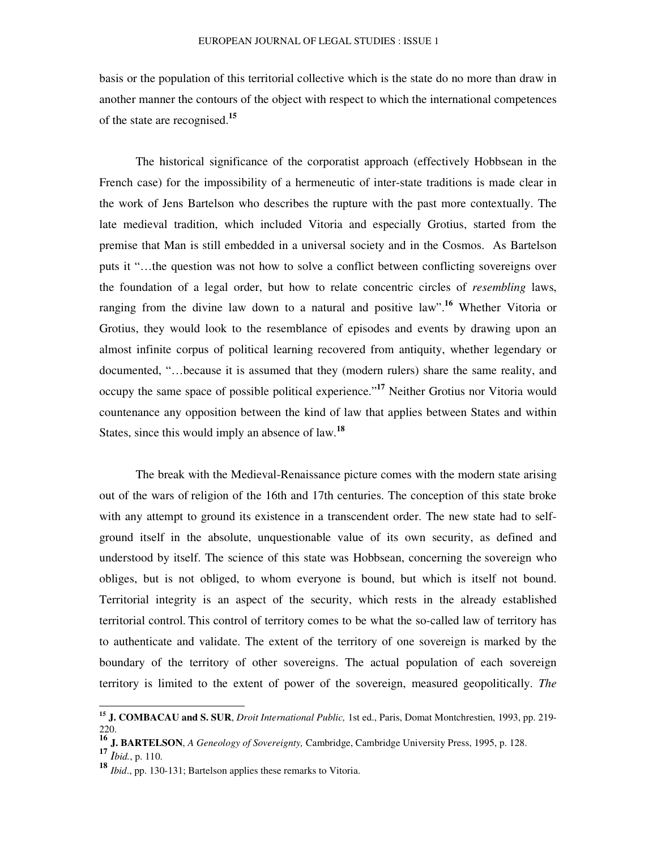basis or the population of this territorial collective which is the state do no more than draw in another manner the contours of the object with respect to which the international competences of the state are recognised. **15**

The historical significance of the corporatist approach (effectively Hobbsean in the French case) for the impossibility of a hermeneutic of inter-state traditions is made clear in the work of Jens Bartelson who describes the rupture with the past more contextually. The late medieval tradition, which included Vitoria and especially Grotius, started from the premise that Man is still embedded in a universal society and in the Cosmos. As Bartelson puts it "…the question was not how to solve a conflict between conflicting sovereigns over the foundation of a legal order, but how to relate concentric circles of *resembling* laws, ranging from the divine law down to a natural and positive law". **<sup>16</sup>** Whether Vitoria or Grotius, they would look to the resemblance of episodes and events by drawing upon an almost infinite corpus of political learning recovered from antiquity, whether legendary or documented, "…because it is assumed that they (modern rulers) share the same reality, and occupy the same space of possible political experience." **<sup>17</sup>** Neither Grotius nor Vitoria would countenance any opposition between the kind of law that applies between States and within States, since this would imply an absence of law. **18**

The break with the Medieval-Renaissance picture comes with the modern state arising out of the wars of religion of the 16th and 17th centuries. The conception of this state broke with any attempt to ground its existence in a transcendent order. The new state had to selfground itself in the absolute, unquestionable value of its own security, as defined and understood by itself. The science of this state was Hobbsean, concerning the sovereign who obliges, but is not obliged, to whom everyone is bound, but which is itself not bound. Territorial integrity is an aspect of the security, which rests in the already established territorial control. This control of territory comes to be what the so-called law of territory has to authenticate and validate. The extent of the territory of one sovereign is marked by the boundary of the territory of other sovereigns. The actual population of each sovereign territory is limited to the extent of power of the sovereign, measured geopolitically. *The*

**<sup>15</sup> J. COMBACAU and S. SUR**, *Droit International Public,* 1st ed., Paris, Domat Montchrestien, 1993, pp. 219- 220. **16 J. BARTELSON**, *A Geneology of Sovereignty,* Cambridge, Cambridge University Press, 1995, p. 128.

**<sup>17</sup>** *Ibid.*, p. 110.

**<sup>18</sup>** *Ibid*., pp. 130-131; Bartelson applies these remarks to Vitoria.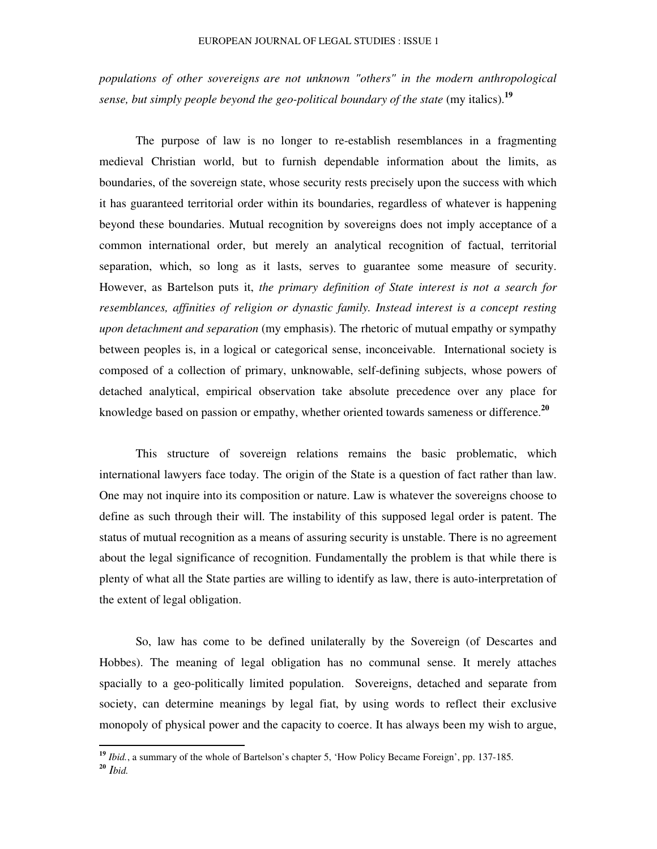*populations of other sovereigns are not unknown "others" in the modern anthropological sense, but simply people beyond the geo-political boundary of the state* (my italics). **19**

The purpose of law is no longer to re-establish resemblances in a fragmenting medieval Christian world, but to furnish dependable information about the limits, as boundaries, of the sovereign state, whose security rests precisely upon the success with which it has guaranteed territorial order within its boundaries, regardless of whatever is happening beyond these boundaries. Mutual recognition by sovereigns does not imply acceptance of a common international order, but merely an analytical recognition of factual, territorial separation, which, so long as it lasts, serves to guarantee some measure of security. However, as Bartelson puts it, *the primary definition of State interest is not a search for resemblances, affinities of religion or dynastic family. Instead interest is a concept resting upon detachment and separation* (my emphasis). The rhetoric of mutual empathy or sympathy between peoples is, in a logical or categorical sense, inconceivable. International society is composed of a collection of primary, unknowable, self-defining subjects, whose powers of detached analytical, empirical observation take absolute precedence over any place for knowledge based on passion or empathy, whether oriented towards sameness or difference. **20**

This structure of sovereign relations remains the basic problematic, which international lawyers face today. The origin of the State is a question of fact rather than law. One may not inquire into its composition or nature. Law is whatever the sovereigns choose to define as such through their will. The instability of this supposed legal order is patent. The status of mutual recognition as a means of assuring security is unstable. There is no agreement about the legal significance of recognition. Fundamentally the problem is that while there is plenty of what all the State parties are willing to identify as law, there is auto-interpretation of the extent of legal obligation.

So, law has come to be defined unilaterally by the Sovereign (of Descartes and Hobbes). The meaning of legal obligation has no communal sense. It merely attaches spacially to a geo-politically limited population. Sovereigns, detached and separate from society, can determine meanings by legal fiat, by using words to reflect their exclusive monopoly of physical power and the capacity to coerce. It has always been my wish to argue,

<sup>&</sup>lt;sup>19</sup> *Ibid.*, a summary of the whole of Bartelson's chapter 5, 'How Policy Became Foreign', pp. 137-185.

**<sup>20</sup>** *Ibid.*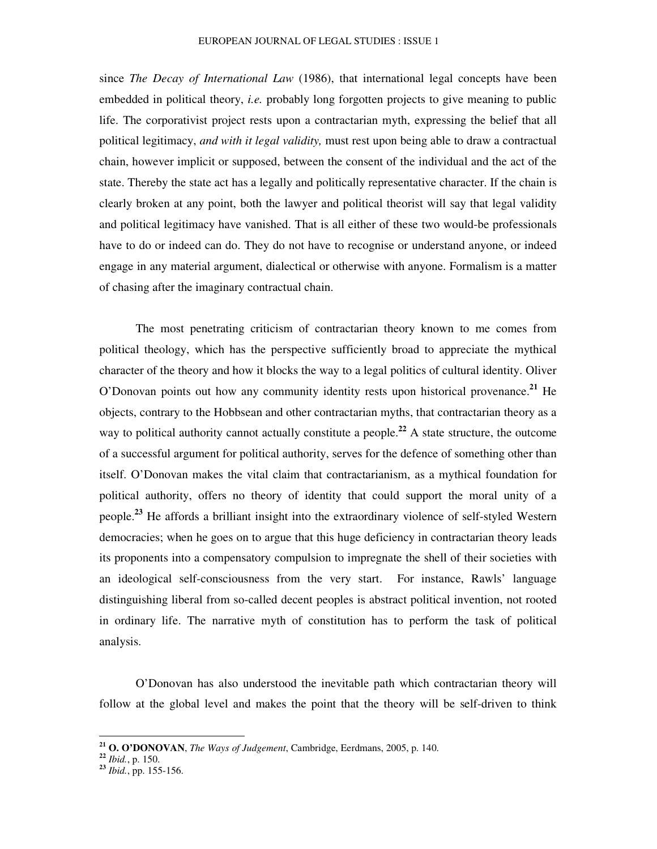since *The Decay of International Law* (1986), that international legal concepts have been embedded in political theory, *i.e.* probably long forgotten projects to give meaning to public life. The corporativist project rests upon a contractarian myth, expressing the belief that all political legitimacy, *and with it legal validity,* must rest upon being able to draw a contractual chain, however implicit or supposed, between the consent of the individual and the act of the state. Thereby the state act has a legally and politically representative character. If the chain is clearly broken at any point, both the lawyer and political theorist will say that legal validity and political legitimacy have vanished. That is all either of these two would-be professionals have to do or indeed can do. They do not have to recognise or understand anyone, or indeed engage in any material argument, dialectical or otherwise with anyone. Formalism is a matter of chasing after the imaginary contractual chain.

The most penetrating criticism of contractarian theory known to me comes from political theology, which has the perspective sufficiently broad to appreciate the mythical character of the theory and how it blocks the way to a legal politics of cultural identity. Oliver O'Donovan points out how any community identity rests upon historical provenance. **<sup>21</sup>** He objects, contrary to the Hobbsean and other contractarian myths, that contractarian theory as a way to political authority cannot actually constitute a people. **<sup>22</sup>** A state structure, the outcome of a successful argument for political authority, serves for the defence of something other than itself. O'Donovan makes the vital claim that contractarianism, as a mythical foundation for political authority, offers no theory of identity that could support the moral unity of a people. **<sup>23</sup>** He affords a brilliant insight into the extraordinary violence of self-styled Western democracies; when he goes on to argue that this huge deficiency in contractarian theory leads its proponents into a compensatory compulsion to impregnate the shell of their societies with an ideological self-consciousness from the very start. For instance, Rawls' language distinguishing liberal from so-called decent peoples is abstract political invention, not rooted in ordinary life. The narrative myth of constitution has to perform the task of political analysis.

O'Donovan has also understood the inevitable path which contractarian theory will follow at the global level and makes the point that the theory will be self-driven to think

**<sup>21</sup> O. O'DONOVAN**, *The Ways of Judgement*, Cambridge, Eerdmans, 2005, p. 140.

**<sup>22</sup>** *Ibid.*, p. 150. **23** *Ibid.*, pp. 155-156.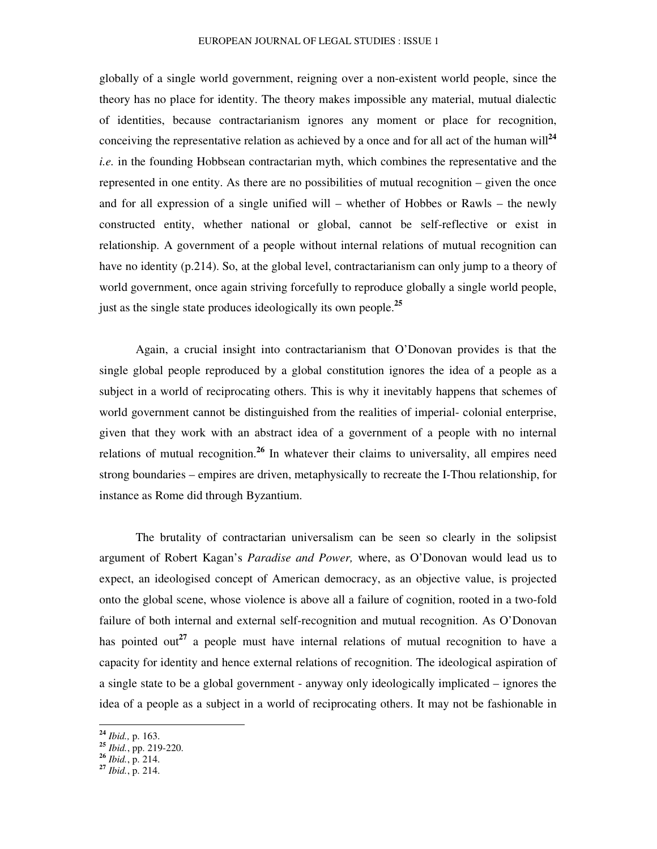globally of a single world government, reigning over a non-existent world people, since the theory has no place for identity. The theory makes impossible any material, mutual dialectic of identities, because contractarianism ignores any moment or place for recognition, conceiving the representative relation as achieved by a once and for all act of the human will **24** *i.e.* in the founding Hobbsean contractarian myth, which combines the representative and the represented in one entity. As there are no possibilities of mutual recognition – given the once and for all expression of a single unified will – whether of Hobbes or Rawls – the newly constructed entity, whether national or global, cannot be self-reflective or exist in relationship. A government of a people without internal relations of mutual recognition can have no identity (p.214). So, at the global level, contractarianism can only jump to a theory of world government, once again striving forcefully to reproduce globally a single world people, just as the single state produces ideologically its own people. **25**

Again, a crucial insight into contractarianism that O'Donovan provides is that the single global people reproduced by a global constitution ignores the idea of a people as a subject in a world of reciprocating others. This is why it inevitably happens that schemes of world government cannot be distinguished from the realities of imperial- colonial enterprise, given that they work with an abstract idea of a government of a people with no internal relations of mutual recognition. **26** In whatever their claims to universality, all empires need strong boundaries – empires are driven, metaphysically to recreate the I-Thou relationship, for instance as Rome did through Byzantium.

The brutality of contractarian universalism can be seen so clearly in the solipsist argument of Robert Kagan's *Paradise and Power,* where, as O'Donovan would lead us to expect, an ideologised concept of American democracy, as an objective value, is projected onto the global scene, whose violence is above all a failure of cognition, rooted in a two-fold failure of both internal and external self-recognition and mutual recognition. As O'Donovan has pointed out<sup>27</sup> a people must have internal relations of mutual recognition to have a capacity for identity and hence external relations of recognition. The ideological aspiration of a single state to be a global government - anyway only ideologically implicated – ignores the idea of a people as a subject in a world of reciprocating others. It may not be fashionable in

**<sup>24</sup>** *Ibid.,* p. 163.

**<sup>25</sup>** *Ibid.*, pp. 219-220.

**<sup>26</sup>** *Ibid.*, p. 214.

**<sup>27</sup>** *Ibid.*, p. 214.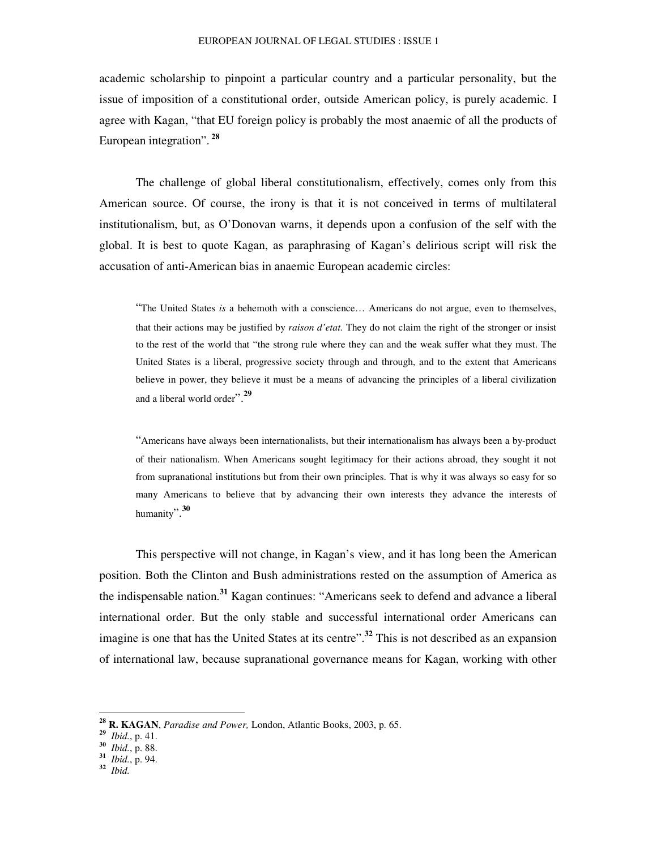academic scholarship to pinpoint a particular country and a particular personality, but the issue of imposition of a constitutional order, outside American policy, is purely academic. I agree with Kagan, "that EU foreign policy is probably the most anaemic of all the products of European integration". **28**

The challenge of global liberal constitutionalism, effectively, comes only from this American source. Of course, the irony is that it is not conceived in terms of multilateral institutionalism, but, as O'Donovan warns, it depends upon a confusion of the self with the global. It is best to quote Kagan, as paraphrasing of Kagan's delirious script will risk the accusation of anti-American bias in anaemic European academic circles:

"The United States *is* a behemoth with a conscience… Americans do not argue, even to themselves, that their actions may be justified by *raison d'etat.* They do not claim the right of the stronger or insist to the rest of the world that "the strong rule where they can and the weak suffer what they must. The United States is a liberal, progressive society through and through, and to the extent that Americans believe in power, they believe it must be a means of advancing the principles of a liberal civilization and a liberal world order". **29**

"Americans have always been internationalists, but their internationalism has always been a by-product of their nationalism. When Americans sought legitimacy for their actions abroad, they sought it not from supranational institutions but from their own principles. That is why it was always so easy for so many Americans to believe that by advancing their own interests they advance the interests of humanity". **30**

This perspective will not change, in Kagan's view, and it has long been the American position. Both the Clinton and Bush administrations rested on the assumption of America as the indispensable nation. **<sup>31</sup>** Kagan continues: "Americans seek to defend and advance a liberal international order. But the only stable and successful international order Americans can imagine is one that has the United States at its centre". **<sup>32</sup>** This is not described as an expansion of international law, because supranational governance means for Kagan, working with other

**<sup>28</sup> R. KAGAN**, *Paradise and Power,* London, Atlantic Books, 2003, p. 65.

**<sup>29</sup>** *Ibid.*, p. 41.

**<sup>30</sup>** *Ibid.*, p. 88.

**<sup>31</sup>** *Ibid.*, p. 94. **32** *Ibid.*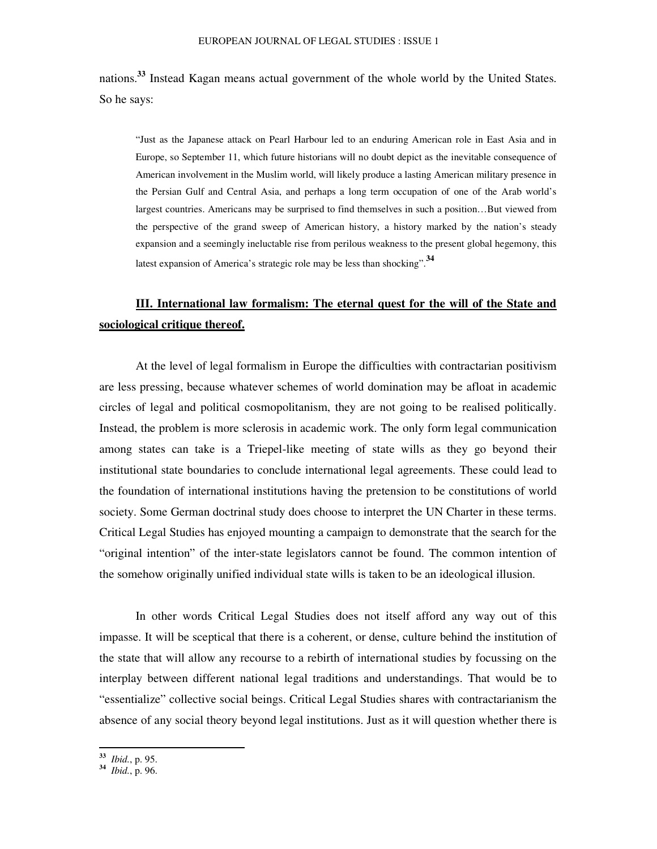nations. **33** Instead Kagan means actual government of the whole world by the United States. So he says:

"Just as the Japanese attack on Pearl Harbour led to an enduring American role in East Asia and in Europe, so September 11, which future historians will no doubt depict as the inevitable consequence of American involvement in the Muslim world, will likely produce a lasting American military presence in the Persian Gulf and Central Asia, and perhaps a long term occupation of one of the Arab world's largest countries. Americans may be surprised to find themselves in such a position…But viewed from the perspective of the grand sweep of American history, a history marked by the nation's steady expansion and a seemingly ineluctable rise from perilous weakness to the present global hegemony, this latest expansion of America's strategic role may be less than shocking".<sup>34</sup>

# **III. International law formalism: The eternal quest for the will of the State and sociological critique thereof.**

At the level of legal formalism in Europe the difficulties with contractarian positivism are less pressing, because whatever schemes of world domination may be afloat in academic circles of legal and political cosmopolitanism, they are not going to be realised politically. Instead, the problem is more sclerosis in academic work. The only form legal communication among states can take is a Triepel-like meeting of state wills as they go beyond their institutional state boundaries to conclude international legal agreements. These could lead to the foundation of international institutions having the pretension to be constitutions of world society. Some German doctrinal study does choose to interpret the UN Charter in these terms. Critical Legal Studies has enjoyed mounting a campaign to demonstrate that the search for the "original intention" of the inter-state legislators cannot be found. The common intention of the somehow originally unified individual state wills is taken to be an ideological illusion.

In other words Critical Legal Studies does not itself afford any way out of this impasse. It will be sceptical that there is a coherent, or dense, culture behind the institution of the state that will allow any recourse to a rebirth of international studies by focussing on the interplay between different national legal traditions and understandings. That would be to "essentialize" collective social beings. Critical Legal Studies shares with contractarianism the absence of any social theory beyond legal institutions. Just as it will question whether there is

**<sup>33</sup>** *Ibid.*, p. 95. **34** *Ibid.*, p. 96.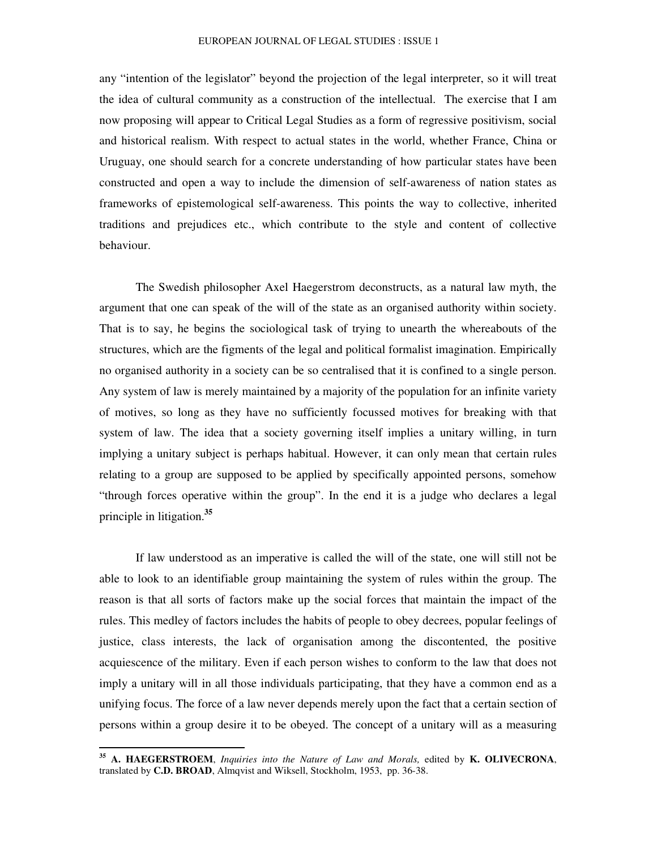any "intention of the legislator" beyond the projection of the legal interpreter, so it will treat the idea of cultural community as a construction of the intellectual. The exercise that I am now proposing will appear to Critical Legal Studies as a form of regressive positivism, social and historical realism. With respect to actual states in the world, whether France, China or Uruguay, one should search for a concrete understanding of how particular states have been constructed and open a way to include the dimension of self-awareness of nation states as frameworks of epistemological self-awareness. This points the way to collective, inherited traditions and prejudices etc., which contribute to the style and content of collective behaviour.

The Swedish philosopher Axel Haegerstrom deconstructs, as a natural law myth, the argument that one can speak of the will of the state as an organised authority within society. That is to say, he begins the sociological task of trying to unearth the whereabouts of the structures, which are the figments of the legal and political formalist imagination. Empirically no organised authority in a society can be so centralised that it is confined to a single person. Any system of law is merely maintained by a majority of the population for an infinite variety of motives, so long as they have no sufficiently focussed motives for breaking with that system of law. The idea that a society governing itself implies a unitary willing, in turn implying a unitary subject is perhaps habitual. However, it can only mean that certain rules relating to a group are supposed to be applied by specifically appointed persons, somehow "through forces operative within the group". In the end it is a judge who declares a legal principle in litigation. **35**

If law understood as an imperative is called the will of the state, one will still not be able to look to an identifiable group maintaining the system of rules within the group. The reason is that all sorts of factors make up the social forces that maintain the impact of the rules. This medley of factors includes the habits of people to obey decrees, popular feelings of justice, class interests, the lack of organisation among the discontented, the positive acquiescence of the military. Even if each person wishes to conform to the law that does not imply a unitary will in all those individuals participating, that they have a common end as a unifying focus. The force of a law never depends merely upon the fact that a certain section of persons within a group desire it to be obeyed. The concept of a unitary will as a measuring

**<sup>35</sup> A. HAEGERSTROEM**, *Inquiries into the Nature of Law and Morals,* edited by **K. OLIVECRONA**, translated by **C.D. BROAD**, Almqvist and Wiksell, Stockholm, 1953, pp. 36-38.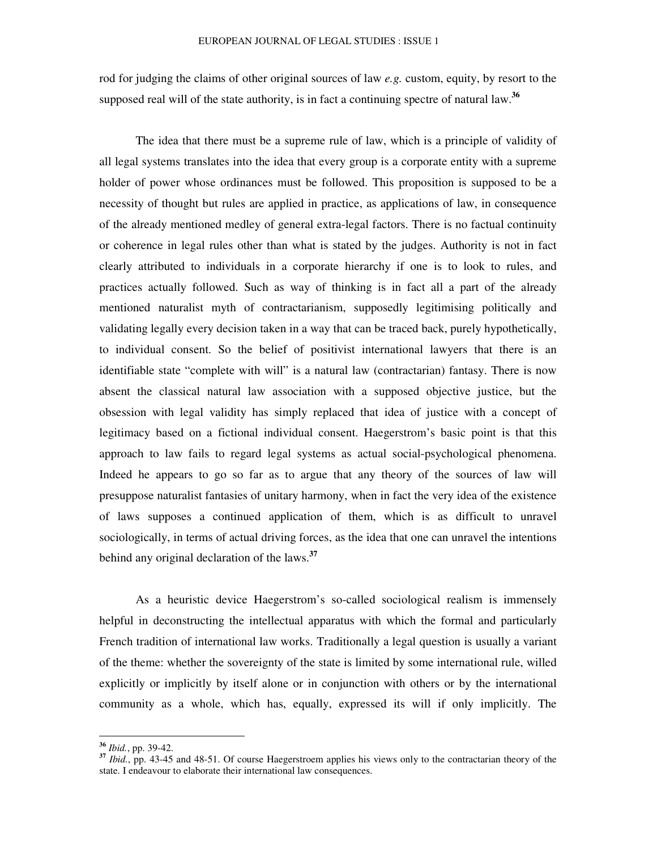rod for judging the claims of other original sources of law *e.g.* custom, equity, by resort to the supposed real will of the state authority, is in fact a continuing spectre of natural law. **36**

The idea that there must be a supreme rule of law, which is a principle of validity of all legal systems translates into the idea that every group is a corporate entity with a supreme holder of power whose ordinances must be followed. This proposition is supposed to be a necessity of thought but rules are applied in practice, as applications of law, in consequence of the already mentioned medley of general extra-legal factors. There is no factual continuity or coherence in legal rules other than what is stated by the judges. Authority is not in fact clearly attributed to individuals in a corporate hierarchy if one is to look to rules, and practices actually followed. Such as way of thinking is in fact all a part of the already mentioned naturalist myth of contractarianism, supposedly legitimising politically and validating legally every decision taken in a way that can be traced back, purely hypothetically, to individual consent. So the belief of positivist international lawyers that there is an identifiable state "complete with will" is a natural law (contractarian) fantasy. There is now absent the classical natural law association with a supposed objective justice, but the obsession with legal validity has simply replaced that idea of justice with a concept of legitimacy based on a fictional individual consent. Haegerstrom's basic point is that this approach to law fails to regard legal systems as actual social-psychological phenomena. Indeed he appears to go so far as to argue that any theory of the sources of law will presuppose naturalist fantasies of unitary harmony, when in fact the very idea of the existence of laws supposes a continued application of them, which is as difficult to unravel sociologically, in terms of actual driving forces, as the idea that one can unravel the intentions behind any original declaration of the laws. **37**

As a heuristic device Haegerstrom's so-called sociological realism is immensely helpful in deconstructing the intellectual apparatus with which the formal and particularly French tradition of international law works. Traditionally a legal question is usually a variant of the theme: whether the sovereignty of the state is limited by some international rule, willed explicitly or implicitly by itself alone or in conjunction with others or by the international community as a whole, which has, equally, expressed its will if only implicitly. The

**<sup>36</sup>** *Ibid.*, pp. 39-42.

**<sup>37</sup>** *Ibid.*, pp. 43-45 and 48-51. Of course Haegerstroem applies his views only to the contractarian theory of the state. I endeavour to elaborate their international law consequences.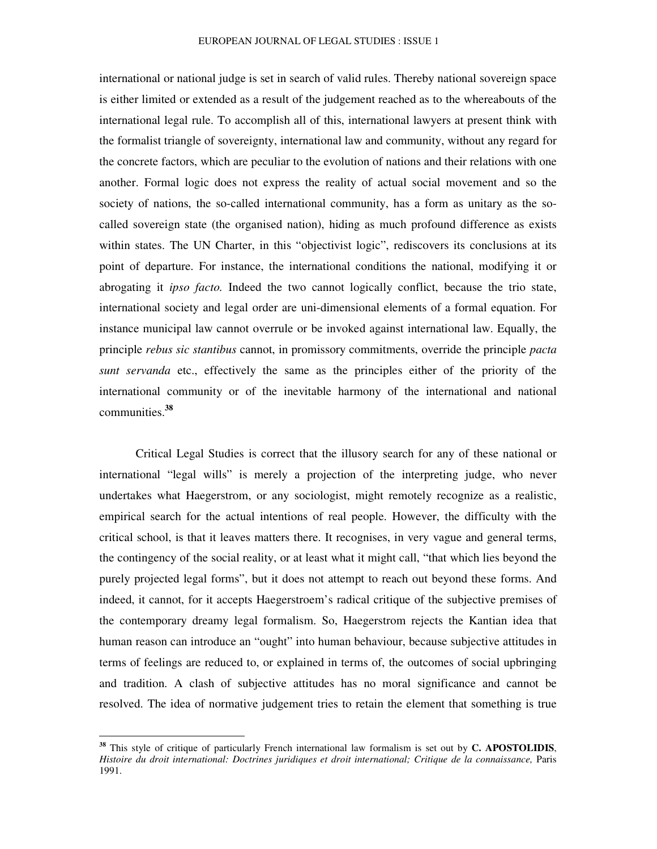international or national judge is set in search of valid rules. Thereby national sovereign space is either limited or extended as a result of the judgement reached as to the whereabouts of the international legal rule. To accomplish all of this, international lawyers at present think with the formalist triangle of sovereignty, international law and community, without any regard for the concrete factors, which are peculiar to the evolution of nations and their relations with one another. Formal logic does not express the reality of actual social movement and so the society of nations, the so-called international community, has a form as unitary as the socalled sovereign state (the organised nation), hiding as much profound difference as exists within states. The UN Charter, in this "objectivist logic", rediscovers its conclusions at its point of departure. For instance, the international conditions the national, modifying it or abrogating it *ipso facto.* Indeed the two cannot logically conflict, because the trio state, international society and legal order are uni-dimensional elements of a formal equation. For instance municipal law cannot overrule or be invoked against international law. Equally, the principle *rebus sic stantibus* cannot, in promissory commitments, override the principle *pacta sunt servanda* etc., effectively the same as the principles either of the priority of the international community or of the inevitable harmony of the international and national communities. **38**

Critical Legal Studies is correct that the illusory search for any of these national or international "legal wills" is merely a projection of the interpreting judge, who never undertakes what Haegerstrom, or any sociologist, might remotely recognize as a realistic, empirical search for the actual intentions of real people. However, the difficulty with the critical school, is that it leaves matters there. It recognises, in very vague and general terms, the contingency of the social reality, or at least what it might call, "that which lies beyond the purely projected legal forms", but it does not attempt to reach out beyond these forms. And indeed, it cannot, for it accepts Haegerstroem's radical critique of the subjective premises of the contemporary dreamy legal formalism. So, Haegerstrom rejects the Kantian idea that human reason can introduce an "ought" into human behaviour, because subjective attitudes in terms of feelings are reduced to, or explained in terms of, the outcomes of social upbringing and tradition. A clash of subjective attitudes has no moral significance and cannot be resolved. The idea of normative judgement tries to retain the element that something is true

**<sup>38</sup>** This style of critique of particularly French international law formalism is set out by **C. APOSTOLIDIS**, *Histoire du droit international: Doctrines juridiques et droit international; Critique de la connaissance,* Paris 1991.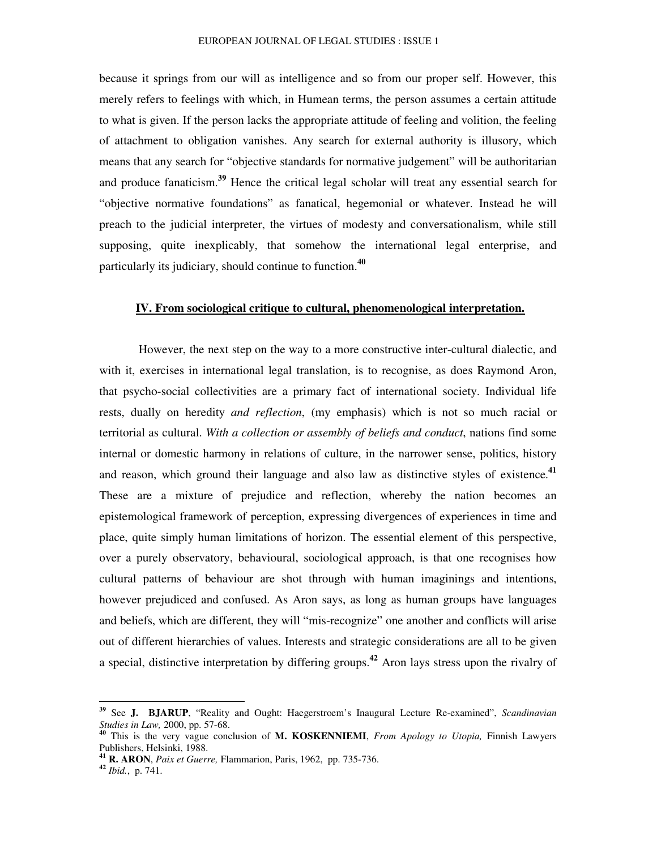because it springs from our will as intelligence and so from our proper self. However, this merely refers to feelings with which, in Humean terms, the person assumes a certain attitude to what is given. If the person lacks the appropriate attitude of feeling and volition, the feeling of attachment to obligation vanishes. Any search for external authority is illusory, which means that any search for "objective standards for normative judgement" will be authoritarian and produce fanaticism. **<sup>39</sup>** Hence the critical legal scholar will treat any essential search for "objective normative foundations" as fanatical, hegemonial or whatever. Instead he will preach to the judicial interpreter, the virtues of modesty and conversationalism, while still supposing, quite inexplicably, that somehow the international legal enterprise, and particularly its judiciary, should continue to function. **40**

## **IV. From sociological critique to cultural, phenomenological interpretation.**

However, the next step on the way to a more constructive inter-cultural dialectic, and with it, exercises in international legal translation, is to recognise, as does Raymond Aron, that psycho-social collectivities are a primary fact of international society. Individual life rests, dually on heredity *and reflection*, (my emphasis) which is not so much racial or territorial as cultural. *With a collection or assembly of beliefs and conduct*, nations find some internal or domestic harmony in relations of culture, in the narrower sense, politics, history and reason, which ground their language and also law as distinctive styles of existence. **41** These are a mixture of prejudice and reflection, whereby the nation becomes an epistemological framework of perception, expressing divergences of experiences in time and place, quite simply human limitations of horizon. The essential element of this perspective, over a purely observatory, behavioural, sociological approach, is that one recognises how cultural patterns of behaviour are shot through with human imaginings and intentions, however prejudiced and confused. As Aron says, as long as human groups have languages and beliefs, which are different, they will "mis-recognize" one another and conflicts will arise out of different hierarchies of values. Interests and strategic considerations are all to be given a special, distinctive interpretation by differing groups. **<sup>42</sup>** Aron lays stress upon the rivalry of

**<sup>39</sup>** See **J. BJARUP**, "Reality and Ought: Haegerstroem's Inaugural Lecture Re-examined", *Scandinavian Studies in Law,* 2000, pp. 57-68.

**<sup>40</sup>** This is the very vague conclusion of **M. KOSKENNIEMI**, *From Apology to Utopia,* Finnish Lawyers Publishers, Helsinki, 1988.

**<sup>41</sup> R. ARON**, *Paix et Guerre,* Flammarion, Paris, 1962, pp. 735-736.

**<sup>42</sup>** *Ibid.*, p. 741.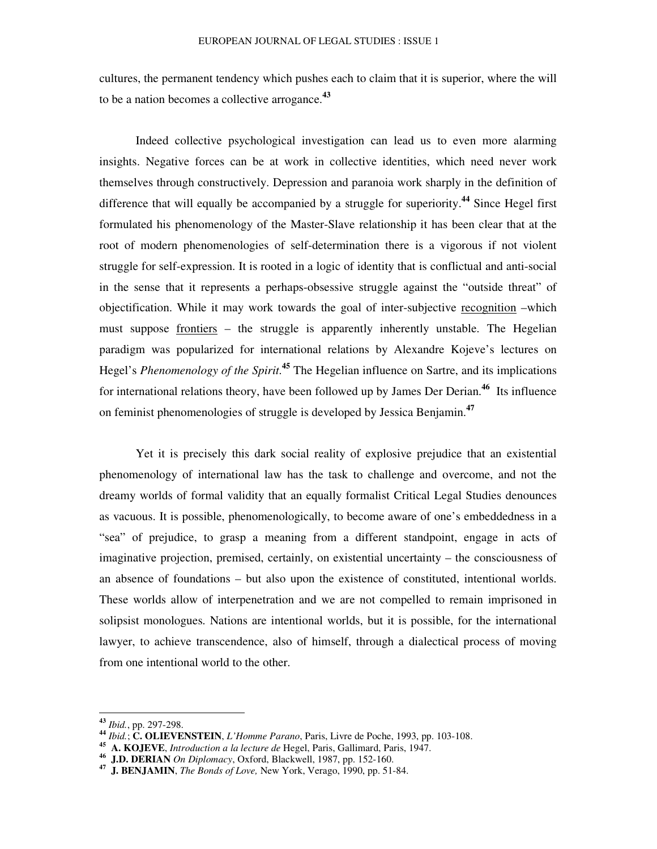cultures, the permanent tendency which pushes each to claim that it is superior, where the will to be a nation becomes a collective arrogance. **43**

Indeed collective psychological investigation can lead us to even more alarming insights. Negative forces can be at work in collective identities, which need never work themselves through constructively. Depression and paranoia work sharply in the definition of difference that will equally be accompanied by a struggle for superiority. **44** Since Hegel first formulated his phenomenology of the Master-Slave relationship it has been clear that at the root of modern phenomenologies of self-determination there is a vigorous if not violent struggle for self-expression. It is rooted in a logic of identity that is conflictual and anti-social in the sense that it represents a perhaps-obsessive struggle against the "outside threat" of objectification. While it may work towards the goal of inter-subjective recognition –which must suppose frontiers – the struggle is apparently inherently unstable. The Hegelian paradigm was popularized for international relations by Alexandre Kojeve's lectures on Hegel's *Phenomenology of the Spirit*. **<sup>45</sup>** The Hegelian influence on Sartre, and its implications for international relations theory, have been followed up by James Der Derian.<sup>46</sup> Its influence on feminist phenomenologies of struggle is developed by Jessica Benjamin. **47**

Yet it is precisely this dark social reality of explosive prejudice that an existential phenomenology of international law has the task to challenge and overcome, and not the dreamy worlds of formal validity that an equally formalist Critical Legal Studies denounces as vacuous. It is possible, phenomenologically, to become aware of one's embeddedness in a "sea" of prejudice, to grasp a meaning from a different standpoint, engage in acts of imaginative projection, premised, certainly, on existential uncertainty – the consciousness of an absence of foundations – but also upon the existence of constituted, intentional worlds. These worlds allow of interpenetration and we are not compelled to remain imprisoned in solipsist monologues. Nations are intentional worlds, but it is possible, for the international lawyer, to achieve transcendence, also of himself, through a dialectical process of moving from one intentional world to the other.

**<sup>43</sup>** *Ibid.*, pp. 297-298.

**<sup>44</sup>** *Ibid.*; **C. OLIEVENSTEIN**, *L'Homme Parano*, Paris, Livre de Poche, 1993, pp. 103-108.

**<sup>45</sup> A. KOJEVE**, *Introduction a la lecture de* Hegel, Paris, Gallimard, Paris, 1947.

**<sup>46</sup> J.D. DERIAN** *On Diplomacy*, Oxford, Blackwell, 1987, pp. 152-160.

**<sup>47</sup> J. BENJAMIN**, *The Bonds of Love,* New York, Verago, 1990, pp. 51-84.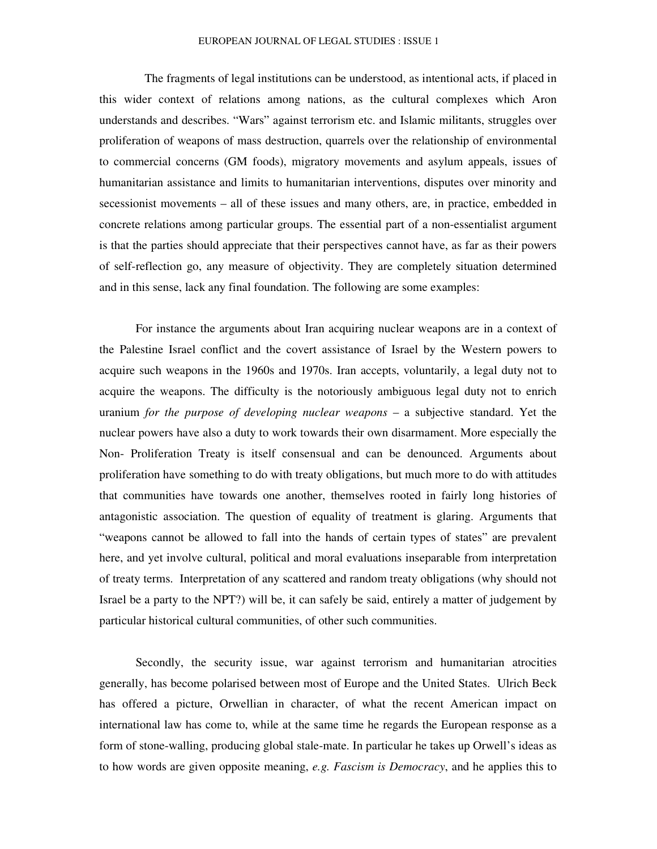The fragments of legal institutions can be understood, as intentional acts, if placed in this wider context of relations among nations, as the cultural complexes which Aron understands and describes. "Wars" against terrorism etc. and Islamic militants, struggles over proliferation of weapons of mass destruction, quarrels over the relationship of environmental to commercial concerns (GM foods), migratory movements and asylum appeals, issues of humanitarian assistance and limits to humanitarian interventions, disputes over minority and secessionist movements – all of these issues and many others, are, in practice, embedded in concrete relations among particular groups. The essential part of a non-essentialist argument is that the parties should appreciate that their perspectives cannot have, as far as their powers of self-reflection go, any measure of objectivity. They are completely situation determined and in this sense, lack any final foundation. The following are some examples:

For instance the arguments about Iran acquiring nuclear weapons are in a context of the Palestine Israel conflict and the covert assistance of Israel by the Western powers to acquire such weapons in the 1960s and 1970s. Iran accepts, voluntarily, a legal duty not to acquire the weapons. The difficulty is the notoriously ambiguous legal duty not to enrich uranium *for the purpose of developing nuclear weapons* – a subjective standard. Yet the nuclear powers have also a duty to work towards their own disarmament. More especially the Non- Proliferation Treaty is itself consensual and can be denounced. Arguments about proliferation have something to do with treaty obligations, but much more to do with attitudes that communities have towards one another, themselves rooted in fairly long histories of antagonistic association. The question of equality of treatment is glaring. Arguments that "weapons cannot be allowed to fall into the hands of certain types of states" are prevalent here, and yet involve cultural, political and moral evaluations inseparable from interpretation of treaty terms. Interpretation of any scattered and random treaty obligations (why should not Israel be a party to the NPT?) will be, it can safely be said, entirely a matter of judgement by particular historical cultural communities, of other such communities.

Secondly, the security issue, war against terrorism and humanitarian atrocities generally, has become polarised between most of Europe and the United States. Ulrich Beck has offered a picture, Orwellian in character, of what the recent American impact on international law has come to, while at the same time he regards the European response as a form of stone-walling, producing global stale-mate. In particular he takes up Orwell's ideas as to how words are given opposite meaning, *e.g. Fascism is Democracy*, and he applies this to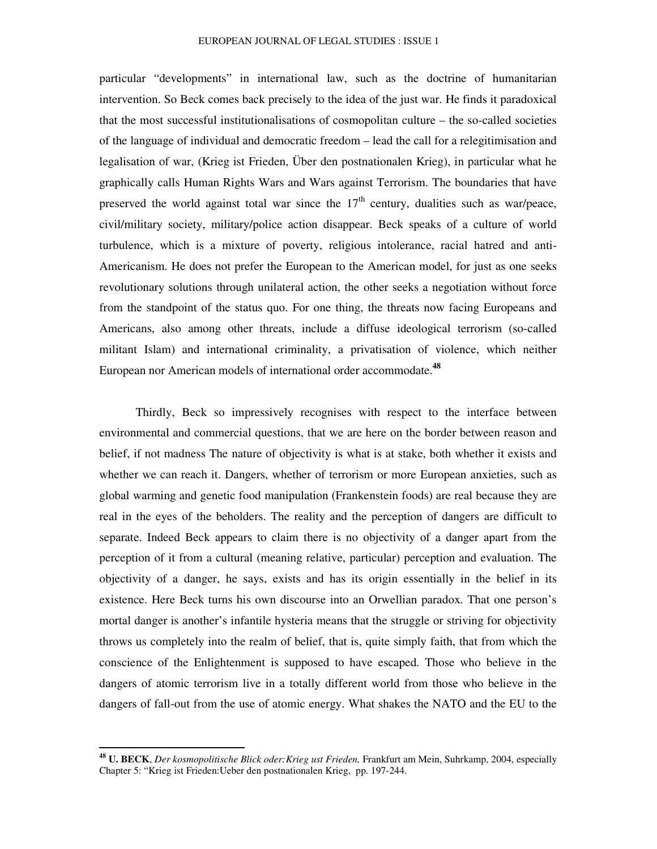particular "developments" in international law, such as the doctrine of humanitarian intervention. So Beck comes back precisely to the idea of the just war. He finds it paradoxical that the most successful institutionalisations of cosmopolitan culture – the so-called societies of the language of individual and democratic freedom – lead the call for a relegitimisation and legalisation of war, (Krieg ist Frieden, Über den postnationalen Krieg), in particular what he graphically calls Human Rights Wars and Wars against Terrorism. The boundaries that have preserved the world against total war since the  $17<sup>th</sup>$  century, dualities such as war/peace, civil/military society, military/police action disappear. Beck speaks of a culture of world turbulence, which is a mixture of poverty, religious intolerance, racial hatred and anti-Americanism. He does not prefer the European to the American model, for just as one seeks revolutionary solutions through unilateral action, the other seeks a negotiation without force from the standpoint of the status quo. For one thing, the threats now facing Europeans and Americans, also among other threats, include a diffuse ideological terrorism (so-called militant Islam) and international criminality, a privatisation of violence, which neither European nor American models of international order accommodate. **48**

Thirdly, Beck so impressively recognises with respect to the interface between environmental and commercial questions, that we are here on the border between reason and belief, if not madness The nature of objectivity is what is at stake, both whether it exists and whether we can reach it. Dangers, whether of terrorism or more European anxieties, such as global warming and genetic food manipulation (Frankenstein foods) are real because they are real in the eyes of the beholders. The reality and the perception of dangers are difficult to separate. Indeed Beck appears to claim there is no objectivity of a danger apart from the perception of it from a cultural (meaning relative, particular) perception and evaluation. The objectivity of a danger, he says, exists and has its origin essentially in the belief in its existence. Here Beck turns his own discourse into an Orwellian paradox. That one person's mortal danger is another's infantile hysteria means that the struggle or striving for objectivity throws us completely into the realm of belief, that is, quite simply faith, that from which the conscience of the Enlightenment is supposed to have escaped. Those who believe in the dangers of atomic terrorism live in a totally different world from those who believe in the dangers of fall-out from the use of atomic energy. What shakes the NATO and the EU to the

**<sup>48</sup> U. BECK**, *Der kosmopolitische Blick oder:Krieg ust Frieden,* Frankfurt am Mein, Suhrkamp, 2004, especially Chapter 5: "Krieg ist Frieden:Ueber den postnationalen Krieg, pp. 197-244.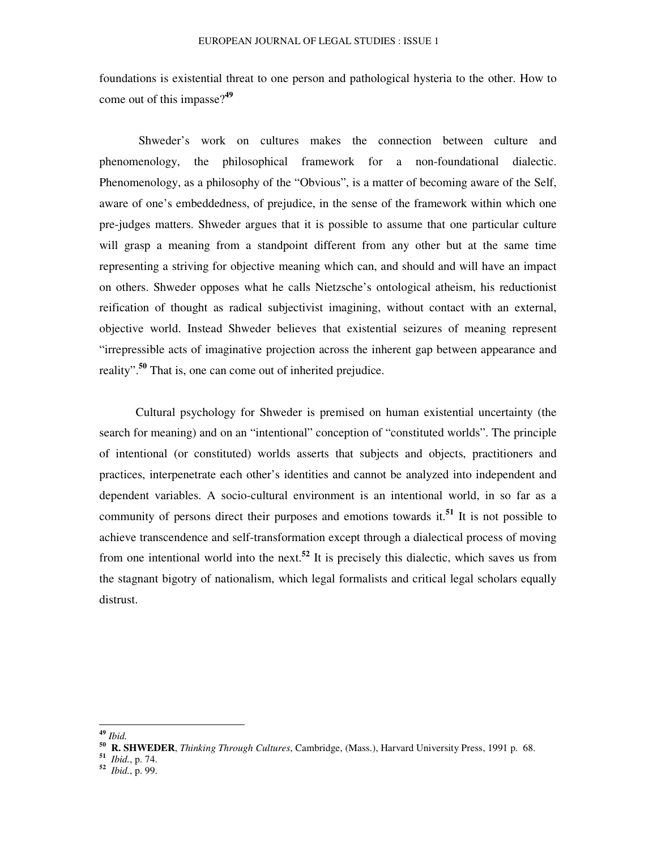foundations is existential threat to one person and pathological hysteria to the other. How to come out of this impasse? **49**

Shweder's work on cultures makes the connection between culture and phenomenology, the philosophical framework for a non-foundational dialectic. Phenomenology, as a philosophy of the "Obvious", is a matter of becoming aware of the Self, aware of one's embeddedness, of prejudice, in the sense of the framework within which one pre-judges matters. Shweder argues that it is possible to assume that one particular culture will grasp a meaning from a standpoint different from any other but at the same time representing a striving for objective meaning which can, and should and will have an impact on others. Shweder opposes what he calls Nietzsche's ontological atheism, his reductionist reification of thought as radical subjectivist imagining, without contact with an external, objective world. Instead Shweder believes that existential seizures of meaning represent "irrepressible acts of imaginative projection across the inherent gap between appearance and reality". **<sup>50</sup>** That is, one can come out of inherited prejudice.

Cultural psychology for Shweder is premised on human existential uncertainty (the search for meaning) and on an "intentional" conception of "constituted worlds". The principle of intentional (or constituted) worlds asserts that subjects and objects, practitioners and practices, interpenetrate each other's identities and cannot be analyzed into independent and dependent variables. A socio-cultural environment is an intentional world, in so far as a community of persons direct their purposes and emotions towards it. **51** It is not possible to achieve transcendence and self-transformation except through a dialectical process of moving from one intentional world into the next. **52** It is precisely this dialectic, which saves us from the stagnant bigotry of nationalism, which legal formalists and critical legal scholars equally distrust.

**<sup>49</sup>** *Ibid.*

**<sup>50</sup> R. SHWEDER**, *Thinking Through Cultures*, Cambridge, (Mass.), Harvard University Press, 1991 p. 68.

**<sup>51</sup>** *Ibid.*, p. 74. **52** *Ibid.*, p. 99.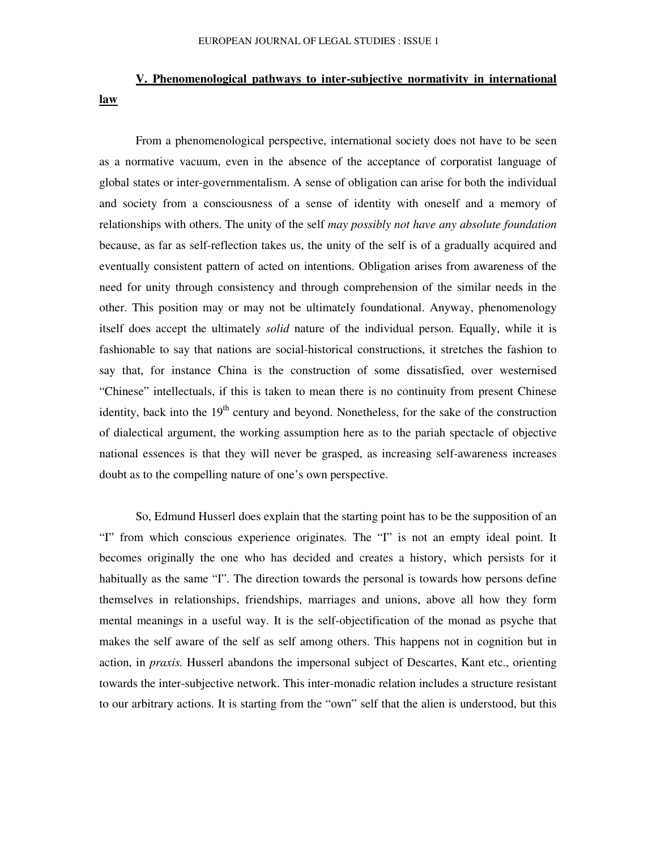# **V. Phenomenological pathways to inter-subjective normativity in international law**

From a phenomenological perspective, international society does not have to be seen as a normative vacuum, even in the absence of the acceptance of corporatist language of global states or inter-governmentalism. A sense of obligation can arise for both the individual and society from a consciousness of a sense of identity with oneself and a memory of relationships with others. The unity of the self *may possibly not have any absolute foundation* because, as far as self-reflection takes us, the unity of the self is of a gradually acquired and eventually consistent pattern of acted on intentions. Obligation arises from awareness of the need for unity through consistency and through comprehension of the similar needs in the other. This position may or may not be ultimately foundational. Anyway, phenomenology itself does accept the ultimately *solid* nature of the individual person. Equally, while it is fashionable to say that nations are social-historical constructions, it stretches the fashion to say that, for instance China is the construction of some dissatisfied, over westernised "Chinese" intellectuals, if this is taken to mean there is no continuity from present Chinese identity, back into the 19<sup>th</sup> century and beyond. Nonetheless, for the sake of the construction of dialectical argument, the working assumption here as to the pariah spectacle of objective national essences is that they will never be grasped, as increasing self-awareness increases doubt as to the compelling nature of one's own perspective.

So, Edmund Husserl does explain that the starting point has to be the supposition of an "I" from which conscious experience originates. The "I" is not an empty ideal point. It becomes originally the one who has decided and creates a history, which persists for it habitually as the same "I". The direction towards the personal is towards how persons define themselves in relationships, friendships, marriages and unions, above all how they form mental meanings in a useful way. It is the self-objectification of the monad as psyche that makes the self aware of the self as self among others. This happens not in cognition but in action, in *praxis.* Husserl abandons the impersonal subject of Descartes, Kant etc., orienting towards the inter-subjective network. This inter-monadic relation includes a structure resistant to our arbitrary actions. It is starting from the "own" self that the alien is understood, but this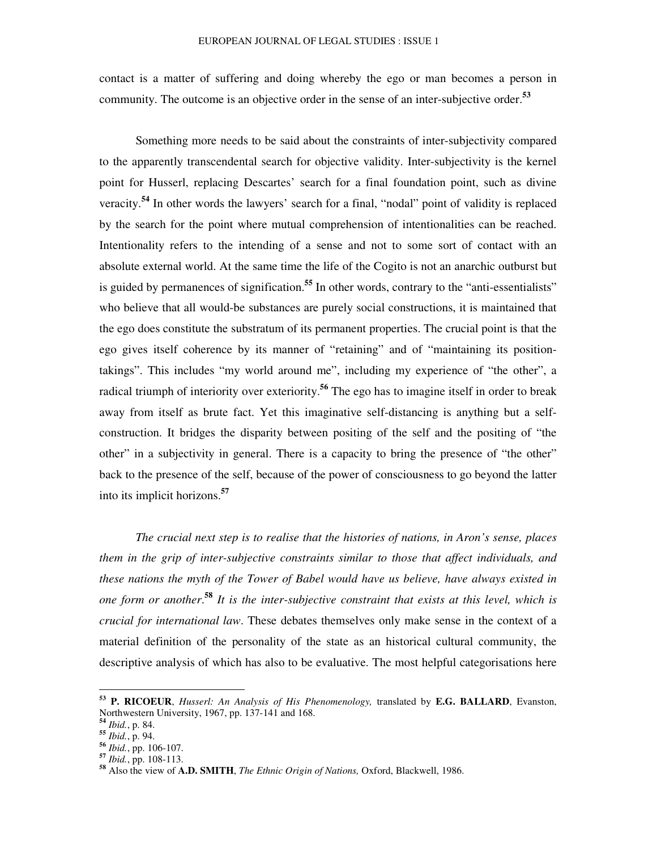contact is a matter of suffering and doing whereby the ego or man becomes a person in community. The outcome is an objective order in the sense of an inter-subjective order. **53**

Something more needs to be said about the constraints of inter-subjectivity compared to the apparently transcendental search for objective validity. Inter-subjectivity is the kernel point for Husserl, replacing Descartes' search for a final foundation point, such as divine veracity. **54** In other words the lawyers' search for a final, "nodal" point of validity is replaced by the search for the point where mutual comprehension of intentionalities can be reached. Intentionality refers to the intending of a sense and not to some sort of contact with an absolute external world. At the same time the life of the Cogito is not an anarchic outburst but is guided by permanences of signification. **55** In other words, contrary to the "anti-essentialists" who believe that all would-be substances are purely social constructions, it is maintained that the ego does constitute the substratum of its permanent properties. The crucial point is that the ego gives itself coherence by its manner of "retaining" and of "maintaining its positiontakings". This includes "my world around me", including my experience of "the other", a radical triumph of interiority over exteriority. **<sup>56</sup>** The ego has to imagine itself in order to break away from itself as brute fact. Yet this imaginative self-distancing is anything but a selfconstruction. It bridges the disparity between positing of the self and the positing of "the other" in a subjectivity in general. There is a capacity to bring the presence of "the other" back to the presence of the self, because of the power of consciousness to go beyond the latter into its implicit horizons. **57**

*The crucial next step is to realise that the histories of nations, in Aron's sense, places them in the grip of inter-subjective constraints similar to those that affect individuals, and these nations the myth of the Tower of Babel would have us believe, have always existed in one form or another*. **58** *It is the inter-subjective constraint that exists at this level, which is crucial for international law*. These debates themselves only make sense in the context of a material definition of the personality of the state as an historical cultural community, the descriptive analysis of which has also to be evaluative. The most helpful categorisations here

**<sup>53</sup> P. RICOEUR**, *Husserl: An Analysis of His Phenomenology,* translated by **E.G. BALLARD**, Evanston, Northwestern University, 1967, pp. 137-141 and 168.

**<sup>54</sup>** *Ibid.*, p. 84.

**<sup>55</sup>** *Ibid.*, p. 94.

**<sup>56</sup>** *Ibid.*, pp. 106-107.

**<sup>57</sup>** *Ibid.*, pp. 108-113.

**<sup>58</sup>** Also the view of **A.D. SMITH**, *The Ethnic Origin of Nations,* Oxford, Blackwell, 1986.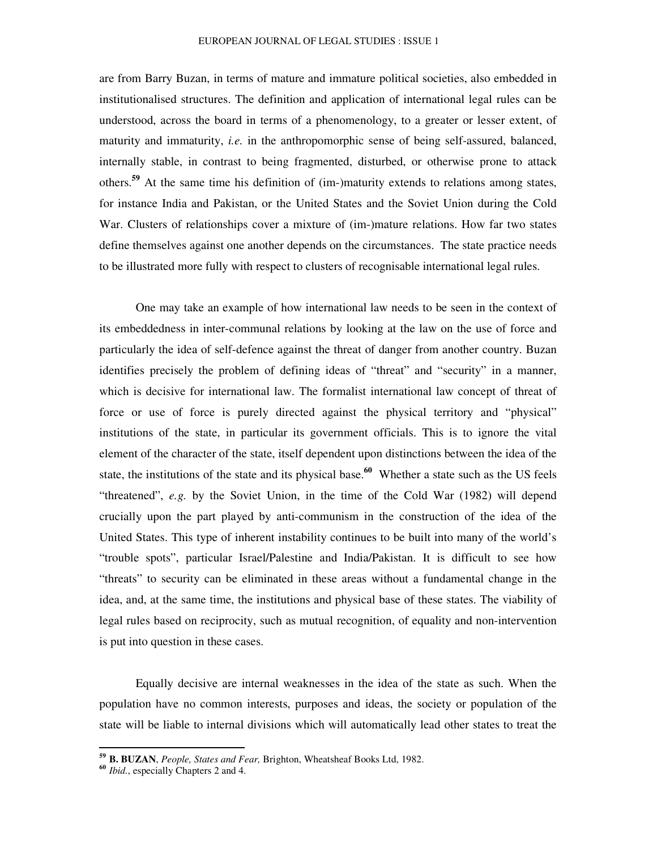are from Barry Buzan, in terms of mature and immature political societies, also embedded in institutionalised structures. The definition and application of international legal rules can be understood, across the board in terms of a phenomenology, to a greater or lesser extent, of maturity and immaturity, *i.e.* in the anthropomorphic sense of being self-assured, balanced, internally stable, in contrast to being fragmented, disturbed, or otherwise prone to attack others. **<sup>59</sup>** At the same time his definition of (im-)maturity extends to relations among states, for instance India and Pakistan, or the United States and the Soviet Union during the Cold War. Clusters of relationships cover a mixture of (im-)mature relations. How far two states define themselves against one another depends on the circumstances. The state practice needs to be illustrated more fully with respect to clusters of recognisable international legal rules.

One may take an example of how international law needs to be seen in the context of its embeddedness in inter-communal relations by looking at the law on the use of force and particularly the idea of self-defence against the threat of danger from another country. Buzan identifies precisely the problem of defining ideas of "threat" and "security" in a manner, which is decisive for international law. The formalist international law concept of threat of force or use of force is purely directed against the physical territory and "physical" institutions of the state, in particular its government officials. This is to ignore the vital element of the character of the state, itself dependent upon distinctions between the idea of the state, the institutions of the state and its physical base. **<sup>60</sup>** Whether a state such as the US feels "threatened", *e.g.* by the Soviet Union, in the time of the Cold War (1982) will depend crucially upon the part played by anti-communism in the construction of the idea of the United States. This type of inherent instability continues to be built into many of the world's "trouble spots", particular Israel/Palestine and India/Pakistan. It is difficult to see how "threats" to security can be eliminated in these areas without a fundamental change in the idea, and, at the same time, the institutions and physical base of these states. The viability of legal rules based on reciprocity, such as mutual recognition, of equality and non-intervention is put into question in these cases.

Equally decisive are internal weaknesses in the idea of the state as such. When the population have no common interests, purposes and ideas, the society or population of the state will be liable to internal divisions which will automatically lead other states to treat the

**<sup>59</sup> B. BUZAN**, *People, States and Fear,* Brighton, Wheatsheaf Books Ltd, 1982.

**<sup>60</sup>** *Ibid.*, especially Chapters 2 and 4.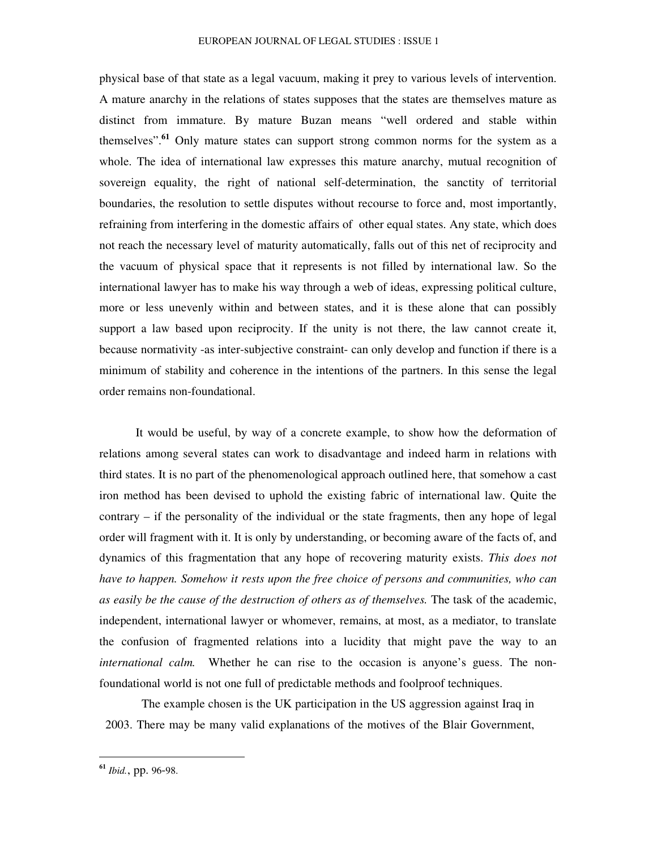physical base of that state as a legal vacuum, making it prey to various levels of intervention. A mature anarchy in the relations of states supposes that the states are themselves mature as distinct from immature. By mature Buzan means "well ordered and stable within themselves". **<sup>61</sup>** Only mature states can support strong common norms for the system as a whole. The idea of international law expresses this mature anarchy, mutual recognition of sovereign equality, the right of national self-determination, the sanctity of territorial boundaries, the resolution to settle disputes without recourse to force and, most importantly, refraining from interfering in the domestic affairs of other equal states. Any state, which does not reach the necessary level of maturity automatically, falls out of this net of reciprocity and the vacuum of physical space that it represents is not filled by international law. So the international lawyer has to make his way through a web of ideas, expressing political culture, more or less unevenly within and between states, and it is these alone that can possibly support a law based upon reciprocity. If the unity is not there, the law cannot create it, because normativity -as inter-subjective constraint- can only develop and function if there is a minimum of stability and coherence in the intentions of the partners. In this sense the legal order remains non-foundational.

It would be useful, by way of a concrete example, to show how the deformation of relations among several states can work to disadvantage and indeed harm in relations with third states. It is no part of the phenomenological approach outlined here, that somehow a cast iron method has been devised to uphold the existing fabric of international law. Quite the contrary – if the personality of the individual or the state fragments, then any hope of legal order will fragment with it. It is only by understanding, or becoming aware of the facts of, and dynamics of this fragmentation that any hope of recovering maturity exists. *This does not have to happen. Somehow it rests upon the free choice of persons and communities, who can as easily be the cause of the destruction of others as of themselves.* The task of the academic, independent, international lawyer or whomever, remains, at most, as a mediator, to translate the confusion of fragmented relations into a lucidity that might pave the way to an *international calm.* Whether he can rise to the occasion is anyone's guess. The nonfoundational world is not one full of predictable methods and foolproof techniques.

The example chosen is the UK participation in the US aggression against Iraq in 2003. There may be many valid explanations of the motives of the Blair Government,

**<sup>61</sup>** *Ibid.*, pp. 96-98.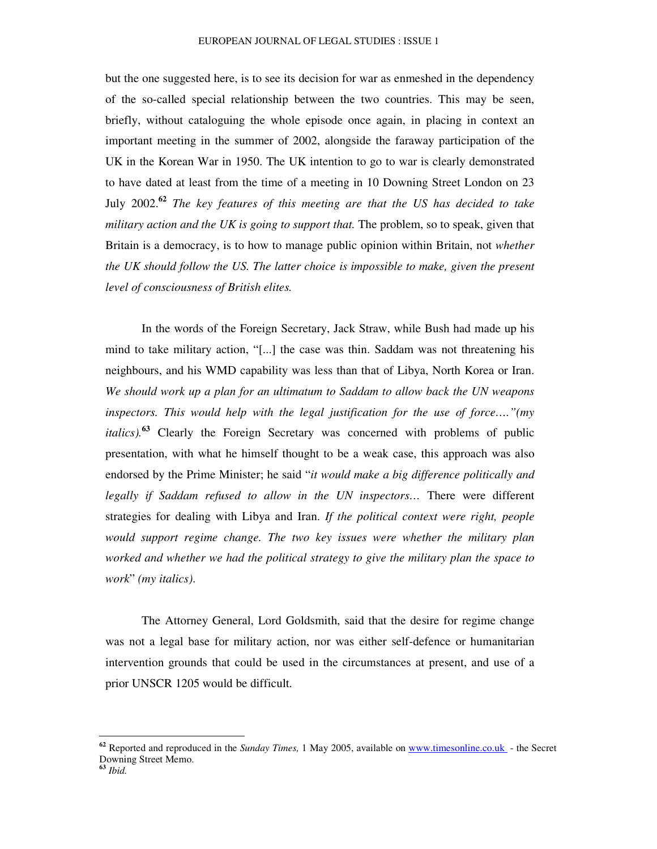but the one suggested here, is to see its decision for war as enmeshed in the dependency of the so-called special relationship between the two countries. This may be seen, briefly, without cataloguing the whole episode once again, in placing in context an important meeting in the summer of 2002, alongside the faraway participation of the UK in the Korean War in 1950. The UK intention to go to war is clearly demonstrated to have dated at least from the time of a meeting in 10 Downing Street London on 23 July 2002. **62** *The key features of this meeting are that the US has decided to take military action and the UK is going to support that.* The problem, so to speak, given that Britain is a democracy, is to how to manage public opinion within Britain, not *whether the UK should follow the US. The latter choice is impossible to make, given the present level of consciousness of British elites.*

In the words of the Foreign Secretary, Jack Straw, while Bush had made up his mind to take military action, "[...] the case was thin. Saddam was not threatening his neighbours, and his WMD capability was less than that of Libya, North Korea or Iran. *We should work up a plan for an ultimatum to Saddam to allow back the UN weapons inspectors. This would help with the legal justification for the use of force…."(my italics).* **<sup>63</sup>** Clearly the Foreign Secretary was concerned with problems of public presentation, with what he himself thought to be a weak case, this approach was also endorsed by the Prime Minister; he said "*it would make a big difference politically and legally if Saddam refused to allow in the UN inspectors…* There were different strategies for dealing with Libya and Iran. *If the political context were right, people would support regime change. The two key issues were whether the military plan worked and whether we had the political strategy to give the military plan the space to work*" *(my italics)*.

The Attorney General, Lord Goldsmith, said that the desire for regime change was not a legal base for military action, nor was either self-defence or humanitarian intervention grounds that could be used in the circumstances at present, and use of a prior UNSCR 1205 would be difficult.

**<sup>62</sup>** Reported and reproduced in the *Sunday Times,* 1 May 2005, available on www.timesonline.co.uk - the Secret Downing Street Memo. **63** *Ibid.*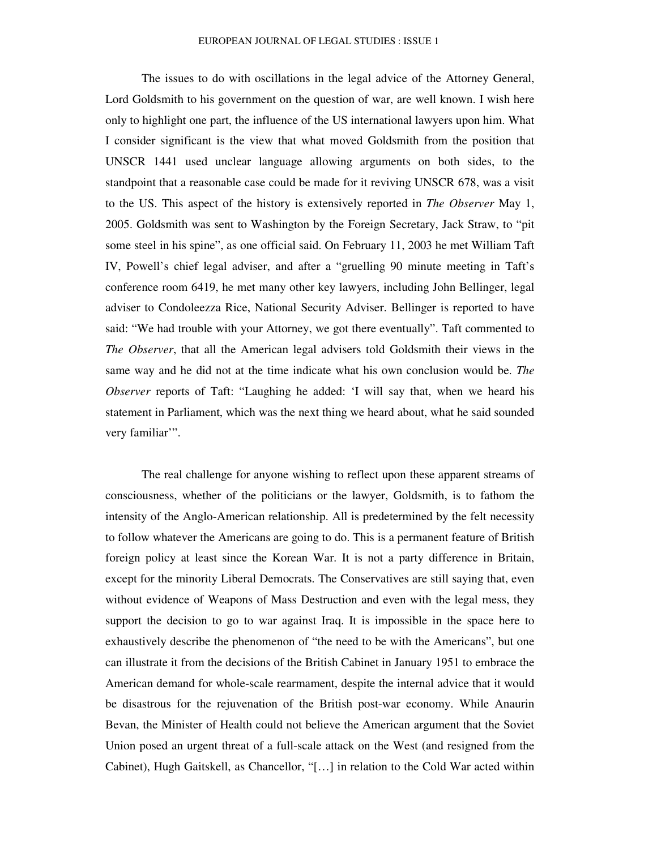The issues to do with oscillations in the legal advice of the Attorney General, Lord Goldsmith to his government on the question of war, are well known. I wish here only to highlight one part, the influence of the US international lawyers upon him. What I consider significant is the view that what moved Goldsmith from the position that UNSCR 1441 used unclear language allowing arguments on both sides, to the standpoint that a reasonable case could be made for it reviving UNSCR 678, was a visit to the US. This aspect of the history is extensively reported in *The Observer* May 1, 2005. Goldsmith was sent to Washington by the Foreign Secretary, Jack Straw, to "pit some steel in his spine", as one official said. On February 11, 2003 he met William Taft IV, Powell's chief legal adviser, and after a "gruelling 90 minute meeting in Taft's conference room 6419, he met many other key lawyers, including John Bellinger, legal adviser to Condoleezza Rice, National Security Adviser. Bellinger is reported to have said: "We had trouble with your Attorney, we got there eventually". Taft commented to *The Observer*, that all the American legal advisers told Goldsmith their views in the same way and he did not at the time indicate what his own conclusion would be. *The Observer* reports of Taft: "Laughing he added: 'I will say that, when we heard his statement in Parliament, which was the next thing we heard about, what he said sounded very familiar'".

The real challenge for anyone wishing to reflect upon these apparent streams of consciousness, whether of the politicians or the lawyer, Goldsmith, is to fathom the intensity of the Anglo-American relationship. All is predetermined by the felt necessity to follow whatever the Americans are going to do. This is a permanent feature of British foreign policy at least since the Korean War. It is not a party difference in Britain, except for the minority Liberal Democrats. The Conservatives are still saying that, even without evidence of Weapons of Mass Destruction and even with the legal mess, they support the decision to go to war against Iraq. It is impossible in the space here to exhaustively describe the phenomenon of "the need to be with the Americans", but one can illustrate it from the decisions of the British Cabinet in January 1951 to embrace the American demand for whole-scale rearmament, despite the internal advice that it would be disastrous for the rejuvenation of the British post-war economy. While Anaurin Bevan, the Minister of Health could not believe the American argument that the Soviet Union posed an urgent threat of a full-scale attack on the West (and resigned from the Cabinet), Hugh Gaitskell, as Chancellor, "[…] in relation to the Cold War acted within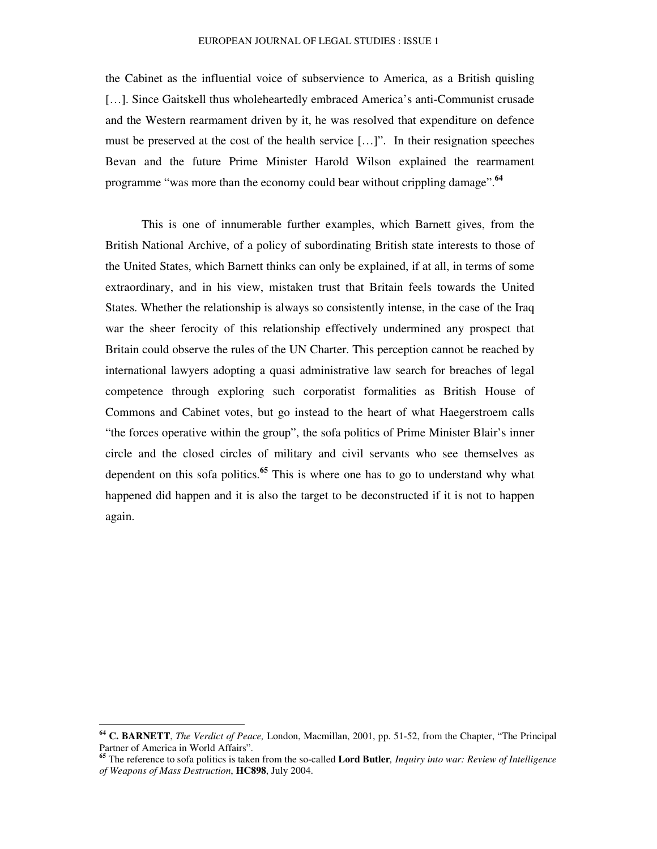the Cabinet as the influential voice of subservience to America, as a British quisling [...]. Since Gaitskell thus wholeheartedly embraced America's anti-Communist crusade and the Western rearmament driven by it, he was resolved that expenditure on defence must be preserved at the cost of the health service […]". In their resignation speeches Bevan and the future Prime Minister Harold Wilson explained the rearmament programme "was more than the economy could bear without crippling damage". **64**

This is one of innumerable further examples, which Barnett gives, from the British National Archive, of a policy of subordinating British state interests to those of the United States, which Barnett thinks can only be explained, if at all, in terms of some extraordinary, and in his view, mistaken trust that Britain feels towards the United States. Whether the relationship is always so consistently intense, in the case of the Iraq war the sheer ferocity of this relationship effectively undermined any prospect that Britain could observe the rules of the UN Charter. This perception cannot be reached by international lawyers adopting a quasi administrative law search for breaches of legal competence through exploring such corporatist formalities as British House of Commons and Cabinet votes, but go instead to the heart of what Haegerstroem calls "the forces operative within the group", the sofa politics of Prime Minister Blair's inner circle and the closed circles of military and civil servants who see themselves as dependent on this sofa politics. **65** This is where one has to go to understand why what happened did happen and it is also the target to be deconstructed if it is not to happen again.

**<sup>64</sup> C. BARNETT**, *The Verdict of Peace,* London, Macmillan, 2001, pp. 51-52, from the Chapter, "The Principal Partner of America in World Affairs".

**<sup>65</sup>** The reference to sofa politics is taken from the so-called **Lord Butler***, Inquiry into war: Review of Intelligence of Weapons of Mass Destruction*, **HC898**, July 2004.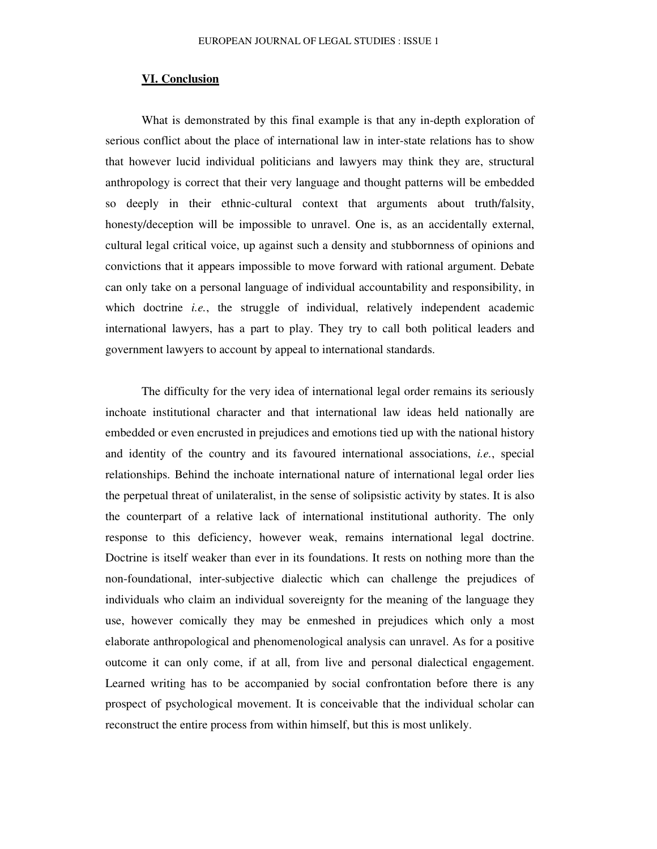## **VI. Conclusion**

What is demonstrated by this final example is that any in-depth exploration of serious conflict about the place of international law in inter-state relations has to show that however lucid individual politicians and lawyers may think they are, structural anthropology is correct that their very language and thought patterns will be embedded so deeply in their ethnic-cultural context that arguments about truth/falsity, honesty/deception will be impossible to unravel. One is, as an accidentally external, cultural legal critical voice, up against such a density and stubbornness of opinions and convictions that it appears impossible to move forward with rational argument. Debate can only take on a personal language of individual accountability and responsibility, in which doctrine *i.e.*, the struggle of individual, relatively independent academic international lawyers, has a part to play. They try to call both political leaders and government lawyers to account by appeal to international standards.

The difficulty for the very idea of international legal order remains its seriously inchoate institutional character and that international law ideas held nationally are embedded or even encrusted in prejudices and emotions tied up with the national history and identity of the country and its favoured international associations, *i.e.*, special relationships. Behind the inchoate international nature of international legal order lies the perpetual threat of unilateralist, in the sense of solipsistic activity by states. It is also the counterpart of a relative lack of international institutional authority. The only response to this deficiency, however weak, remains international legal doctrine. Doctrine is itself weaker than ever in its foundations. It rests on nothing more than the non-foundational, inter-subjective dialectic which can challenge the prejudices of individuals who claim an individual sovereignty for the meaning of the language they use, however comically they may be enmeshed in prejudices which only a most elaborate anthropological and phenomenological analysis can unravel. As for a positive outcome it can only come, if at all, from live and personal dialectical engagement. Learned writing has to be accompanied by social confrontation before there is any prospect of psychological movement. It is conceivable that the individual scholar can reconstruct the entire process from within himself, but this is most unlikely.